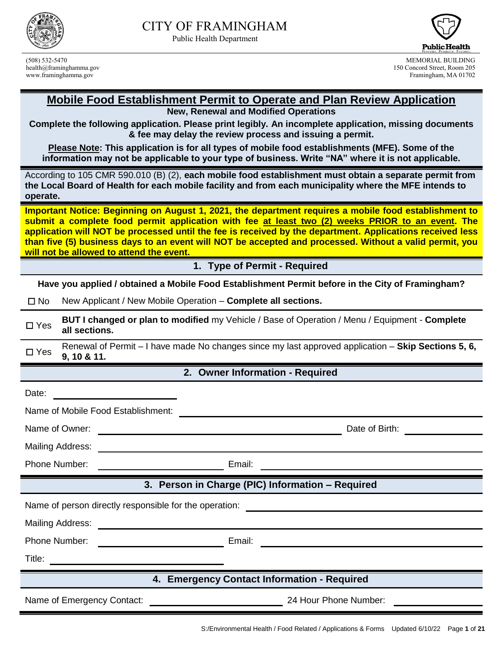

Public Health Department



(508) 532-5470 MEMORIAL BUILDING 150 Concord Street, Room 205 www.framinghamma.gov Framingham, MA 01702

#### **Mobile Food Establishment Permit to Operate and Plan Review Application New, Renewal and Modified Operations**

**Complete the following application. Please print legibly. An incomplete application, missing documents & fee may delay the review process and issuing a permit.**

**Please Note: This application is for all types of mobile food establishments (MFE). Some of the information may not be applicable to your type of business. Write "NA" where it is not applicable.**

According to 105 CMR 590.010 (B) (2), **each mobile food establishment must obtain a separate permit from the Local Board of Health for each mobile facility and from each municipality where the MFE intends to operate.**

**Important Notice: Beginning on August 1, 2021, the department requires a mobile food establishment to submit a complete food permit application with fee at least two (2) weeks PRIOR to an event. The application will NOT be processed until the fee is received by the department. Applications received less than five (5) business days to an event will NOT be accepted and processed. Without a valid permit, you will not be allowed to attend the event.**

**1. Type of Permit - Required**

**Have you applied / obtained a Mobile Food Establishment Permit before in the City of Framingham?**

☐ No New Applicant / New Mobile Operation – **Complete all sections.**

☐ Yes **BUT I changed or plan to modified** my Vehicle / Base of Operation / Menu / Equipment - **Complete all sections.**

☐ Yes Renewal of Permit – I have made No changes since my last approved application – **Skip Sections 5, 6, 9, 10 & 11.**

**2. Owner Information - Required**

| Date:<br><u> 1989 - Johann Barbara, martxa a shekara tsa 1989 - An tsa 1989 - An tsa 1989 - An tsa 1989 - An tsa 1989 - A</u>            |                                                                                 |  |  |
|------------------------------------------------------------------------------------------------------------------------------------------|---------------------------------------------------------------------------------|--|--|
| Name of Mobile Food Establishment:                                                                                                       |                                                                                 |  |  |
| Name of Owner:<br><u> 1989 - Johann John Stein, markin film yn y brening yn y brening yn y brening yn y brening y brening yn y breni</u> | Date of Birth: <u>_____________</u>                                             |  |  |
|                                                                                                                                          |                                                                                 |  |  |
| Phone Number:<br><u> 1989 - Johann Stoff, deutscher Stoffen und der Stoffen und der Stoffen und der Stoffen und der Stoffen und der </u> | Email:                                                                          |  |  |
| 3. Person in Charge (PIC) Information - Required                                                                                         |                                                                                 |  |  |
| Name of person directly responsible for the operation:<br>Name of person directly responsible for the operation:                         |                                                                                 |  |  |
| Mailing Address:                                                                                                                         | <u> 1989 - Andrea Andrew Maria (h. 1989).</u><br>1904 - Andrew Maria (h. 1989). |  |  |
| Phone Number:<br><u> Liston de la contrata de la contrata de la con</u>                                                                  | Email:<br><u> 1980 - Andrea Stadt, fransk politik (d. 1980)</u>                 |  |  |
| Title:<br><u> 1989 - Johann Stoff, deutscher Stoffen und der Stoffen und der Stoffen und der Stoffen und der Stoffen und der</u>         |                                                                                 |  |  |
| 4. Emergency Contact Information - Required                                                                                              |                                                                                 |  |  |
| Name of Emergency Contact:                                                                                                               | 24 Hour Phone Number:                                                           |  |  |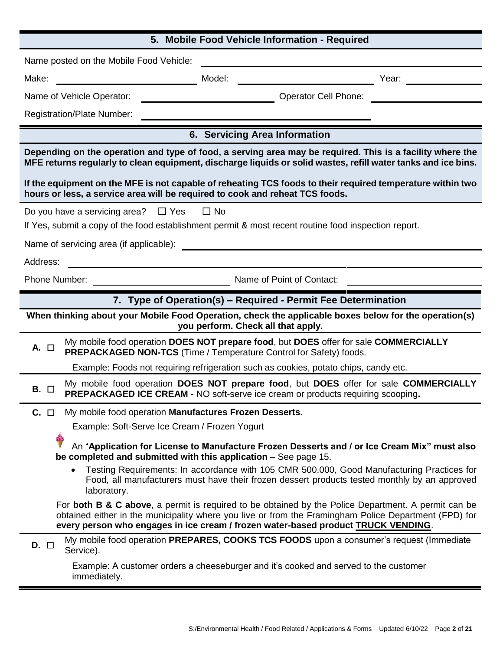| 5. Mobile Food Vehicle Information - Required                                                                                                                                                                                                                                                     |  |  |
|---------------------------------------------------------------------------------------------------------------------------------------------------------------------------------------------------------------------------------------------------------------------------------------------------|--|--|
| Name posted on the Mobile Food Vehicle:                                                                                                                                                                                                                                                           |  |  |
| Make:<br>Model:<br>Year:                                                                                                                                                                                                                                                                          |  |  |
| <b>Operator Cell Phone:</b><br>Name of Vehicle Operator:                                                                                                                                                                                                                                          |  |  |
| <b>Registration/Plate Number:</b>                                                                                                                                                                                                                                                                 |  |  |
| 6. Servicing Area Information                                                                                                                                                                                                                                                                     |  |  |
| Depending on the operation and type of food, a serving area may be required. This is a facility where the<br>MFE returns regularly to clean equipment, discharge liquids or solid wastes, refill water tanks and ice bins.                                                                        |  |  |
| If the equipment on the MFE is not capable of reheating TCS foods to their required temperature within two<br>hours or less, a service area will be required to cook and reheat TCS foods.                                                                                                        |  |  |
| $\Box$ No<br>Do you have a servicing area?<br>$\Box$ Yes                                                                                                                                                                                                                                          |  |  |
| If Yes, submit a copy of the food establishment permit & most recent routine food inspection report.                                                                                                                                                                                              |  |  |
| Name of servicing area (if applicable):                                                                                                                                                                                                                                                           |  |  |
| Address:                                                                                                                                                                                                                                                                                          |  |  |
| Phone Number:<br>Name of Point of Contact:                                                                                                                                                                                                                                                        |  |  |
| 7. Type of Operation(s) – Required - Permit Fee Determination                                                                                                                                                                                                                                     |  |  |
| When thinking about your Mobile Food Operation, check the applicable boxes below for the operation(s)<br>you perform. Check all that apply.                                                                                                                                                       |  |  |
|                                                                                                                                                                                                                                                                                                   |  |  |
| My mobile food operation DOES NOT prepare food, but DOES offer for sale COMMERCIALLY<br>А.<br>$\Box$<br>PREPACKAGED NON-TCS (Time / Temperature Control for Safety) foods.                                                                                                                        |  |  |
| Example: Foods not requiring refrigeration such as cookies, potato chips, candy etc.                                                                                                                                                                                                              |  |  |
| My mobile food operation DOES NOT prepare food, but DOES offer for sale COMMERCIALLY<br>B. O<br>PREPACKAGED ICE CREAM - NO soft-serve ice cream or products requiring scooping.                                                                                                                   |  |  |
| My mobile food operation Manufactures Frozen Desserts.<br>$C. \Box$                                                                                                                                                                                                                               |  |  |
| Example: Soft-Serve Ice Cream / Frozen Yogurt                                                                                                                                                                                                                                                     |  |  |
| Ŝ<br>An "Application for License to Manufacture Frozen Desserts and / or Ice Cream Mix" must also<br>be completed and submitted with this application - See page 15.                                                                                                                              |  |  |
| Testing Requirements: In accordance with 105 CMR 500.000, Good Manufacturing Practices for<br>$\bullet$<br>Food, all manufacturers must have their frozen dessert products tested monthly by an approved<br>laboratory.                                                                           |  |  |
| For both B & C above, a permit is required to be obtained by the Police Department. A permit can be<br>obtained either in the municipality where you live or from the Framingham Police Department (FPD) for<br>every person who engages in ice cream / frozen water-based product TRUCK VENDING. |  |  |
| My mobile food operation PREPARES, COOKS TCS FOODS upon a consumer's request (Immediate<br>$D. \Box$<br>Service).                                                                                                                                                                                 |  |  |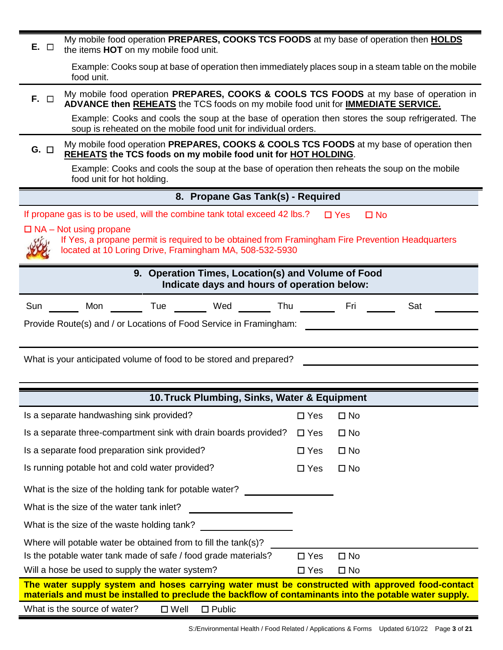| My mobile food operation PREPARES, COOKS TCS FOODS at my base of operation then HOLDS<br>$E.$ $\Box$<br>the items HOT on my mobile food unit.                                                              |                               |  |  |
|------------------------------------------------------------------------------------------------------------------------------------------------------------------------------------------------------------|-------------------------------|--|--|
| Example: Cooks soup at base of operation then immediately places soup in a steam table on the mobile<br>food unit.                                                                                         |                               |  |  |
| My mobile food operation PREPARES, COOKS & COOLS TCS FOODS at my base of operation in<br>$F.$ $\Box$<br>ADVANCE then REHEATS the TCS foods on my mobile food unit for <b>IMMEDIATE SERVICE.</b>            |                               |  |  |
| Example: Cooks and cools the soup at the base of operation then stores the soup refrigerated. The<br>soup is reheated on the mobile food unit for individual orders.                                       |                               |  |  |
| My mobile food operation PREPARES, COOKS & COOLS TCS FOODS at my base of operation then<br>$G.$ $\square$<br>REHEATS the TCS foods on my mobile food unit for HOT HOLDING.                                 |                               |  |  |
| Example: Cooks and cools the soup at the base of operation then reheats the soup on the mobile<br>food unit for hot holding.                                                                               |                               |  |  |
| 8. Propane Gas Tank(s) - Required                                                                                                                                                                          |                               |  |  |
| If propane gas is to be used, will the combine tank total exceed 42 lbs.?                                                                                                                                  | $\Box$ Yes<br>$\Box$ No       |  |  |
| $\Box$ NA – Not using propane                                                                                                                                                                              |                               |  |  |
| If Yes, a propane permit is required to be obtained from Framingham Fire Prevention Headquarters<br>located at 10 Loring Drive, Framingham MA, 508-532-5930                                                |                               |  |  |
| 9. Operation Times, Location(s) and Volume of Food                                                                                                                                                         |                               |  |  |
| Indicate days and hours of operation below:                                                                                                                                                                |                               |  |  |
| Mon ________ Tue ________ Wed _______ Thu<br>Sun                                                                                                                                                           | Fri<br>Sat                    |  |  |
| Provide Route(s) and / or Locations of Food Service in Framingham:                                                                                                                                         |                               |  |  |
|                                                                                                                                                                                                            |                               |  |  |
| What is your anticipated volume of food to be stored and prepared?                                                                                                                                         |                               |  |  |
|                                                                                                                                                                                                            |                               |  |  |
| 10. Truck Plumbing, Sinks, Water & Equipment                                                                                                                                                               |                               |  |  |
| Is a separate handwashing sink provided?                                                                                                                                                                   | $\square$ No<br>$\square$ Yes |  |  |
| Is a separate three-compartment sink with drain boards provided?                                                                                                                                           | $\square$ Yes<br>$\square$ No |  |  |
| Is a separate food preparation sink provided?                                                                                                                                                              | $\square$ Yes<br>$\square$ No |  |  |
| Is running potable hot and cold water provided?                                                                                                                                                            | $\square$ No<br>$\square$ Yes |  |  |
| What is the size of the holding tank for potable water?                                                                                                                                                    |                               |  |  |
| What is the size of the water tank inlet?                                                                                                                                                                  |                               |  |  |
| What is the size of the waste holding tank?                                                                                                                                                                |                               |  |  |
| Where will potable water be obtained from to fill the tank(s)?                                                                                                                                             |                               |  |  |
| Is the potable water tank made of safe / food grade materials?                                                                                                                                             | $\square$ No<br>$\Box$ Yes    |  |  |
| Will a hose be used to supply the water system?                                                                                                                                                            | $\square$ Yes<br>$\square$ No |  |  |
| The water supply system and hoses carrying water must be constructed with approved food-contact<br>materials and must be installed to preclude the backflow of contaminants into the potable water supply. |                               |  |  |
| What is the source of water?<br>$\square$ Well<br>$\Box$ Public                                                                                                                                            |                               |  |  |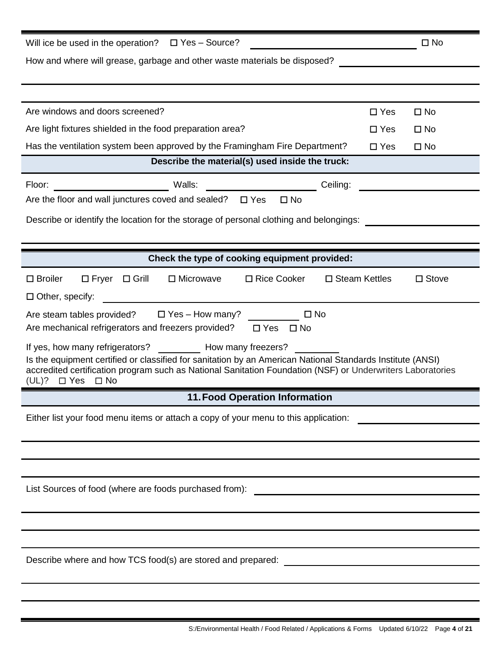| Will ice be used in the operation? $\Box$ Yes - Source?                                                                                                                                                                                                                                                            |            | $\square$ No |  |
|--------------------------------------------------------------------------------------------------------------------------------------------------------------------------------------------------------------------------------------------------------------------------------------------------------------------|------------|--------------|--|
| How and where will grease, garbage and other waste materials be disposed?                                                                                                                                                                                                                                          |            |              |  |
|                                                                                                                                                                                                                                                                                                                    |            |              |  |
|                                                                                                                                                                                                                                                                                                                    |            |              |  |
| Are windows and doors screened?                                                                                                                                                                                                                                                                                    | $\Box$ Yes | $\square$ No |  |
| Are light fixtures shielded in the food preparation area?                                                                                                                                                                                                                                                          | $\Box$ Yes | $\square$ No |  |
| Has the ventilation system been approved by the Framingham Fire Department?                                                                                                                                                                                                                                        | $\Box$ Yes | $\square$ No |  |
| Describe the material(s) used inside the truck:                                                                                                                                                                                                                                                                    |            |              |  |
| Ceiling:                                                                                                                                                                                                                                                                                                           |            |              |  |
| Are the floor and wall junctures coved and sealed? $\Box$ Yes<br>$\square$ No                                                                                                                                                                                                                                      |            |              |  |
| Describe or identify the location for the storage of personal clothing and belongings:                                                                                                                                                                                                                             |            |              |  |
|                                                                                                                                                                                                                                                                                                                    |            |              |  |
| Check the type of cooking equipment provided:                                                                                                                                                                                                                                                                      |            |              |  |
|                                                                                                                                                                                                                                                                                                                    |            |              |  |
| □ Rice Cooker<br>$\square$ Steam Kettles<br>$\square$ Broiler<br>$\Box$ Fryer $\Box$ Grill<br>$\Box$ Microwave                                                                                                                                                                                                     |            | $\Box$ Stove |  |
| $\Box$ Other, specify:                                                                                                                                                                                                                                                                                             |            |              |  |
| $\square$ No<br>Are steam tables provided? $\square$ Yes – How many?<br>Are mechanical refrigerators and freezers provided?<br>$\Box$ Yes $\Box$ No                                                                                                                                                                |            |              |  |
| If yes, how many refrigerators? How many freezers?<br>Is the equipment certified or classified for sanitation by an American National Standards Institute (ANSI)<br>accredited certification program such as National Sanitation Foundation (NSF) or Underwriters Laboratories<br>(UL)?<br>$\Box$ Yes<br>$\Box$ No |            |              |  |
| <b>11. Food Operation Information</b>                                                                                                                                                                                                                                                                              |            |              |  |
| Either list your food menu items or attach a copy of your menu to this application:                                                                                                                                                                                                                                |            |              |  |
|                                                                                                                                                                                                                                                                                                                    |            |              |  |
|                                                                                                                                                                                                                                                                                                                    |            |              |  |
|                                                                                                                                                                                                                                                                                                                    |            |              |  |
| List Sources of food (where are foods purchased from):<br><u> 1989 - Johann Barnett, fransk politik (d. 1989)</u>                                                                                                                                                                                                  |            |              |  |
|                                                                                                                                                                                                                                                                                                                    |            |              |  |
|                                                                                                                                                                                                                                                                                                                    |            |              |  |
|                                                                                                                                                                                                                                                                                                                    |            |              |  |
| Describe where and how TCS food(s) are stored and prepared: _____________________                                                                                                                                                                                                                                  |            |              |  |
|                                                                                                                                                                                                                                                                                                                    |            |              |  |
|                                                                                                                                                                                                                                                                                                                    |            |              |  |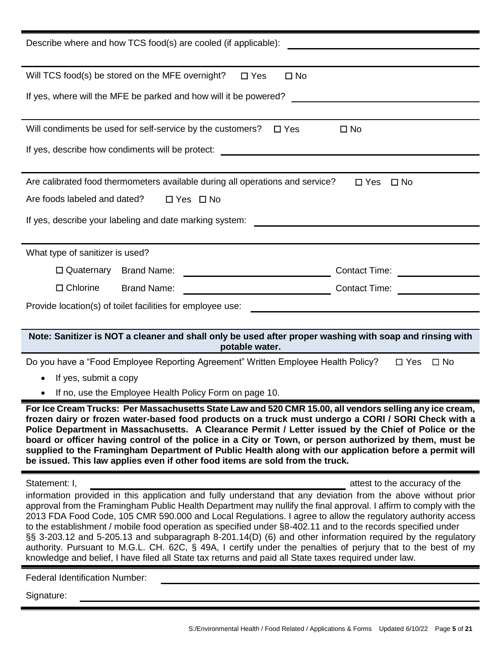| Describe where and how TCS food(s) are cooled (if applicable):                                                                                                                                                                                                                                                                                                                                                                                                                                                                                                                                                                                                                                                                                                                                                                                              |
|-------------------------------------------------------------------------------------------------------------------------------------------------------------------------------------------------------------------------------------------------------------------------------------------------------------------------------------------------------------------------------------------------------------------------------------------------------------------------------------------------------------------------------------------------------------------------------------------------------------------------------------------------------------------------------------------------------------------------------------------------------------------------------------------------------------------------------------------------------------|
| Will TCS food(s) be stored on the MFE overnight?<br>$\square$ Yes<br>$\square$ No                                                                                                                                                                                                                                                                                                                                                                                                                                                                                                                                                                                                                                                                                                                                                                           |
| If yes, where will the MFE be parked and how will it be powered?                                                                                                                                                                                                                                                                                                                                                                                                                                                                                                                                                                                                                                                                                                                                                                                            |
| Will condiments be used for self-service by the customers?<br>$\square$ Yes<br>$\square$ No                                                                                                                                                                                                                                                                                                                                                                                                                                                                                                                                                                                                                                                                                                                                                                 |
| If yes, describe how condiments will be protect:                                                                                                                                                                                                                                                                                                                                                                                                                                                                                                                                                                                                                                                                                                                                                                                                            |
| Are calibrated food thermometers available during all operations and service?<br>$\Box$ Yes<br>$\square$ No<br>Are foods labeled and dated?<br>$\Box$ Yes $\Box$ No<br>If yes, describe your labeling and date marking system:                                                                                                                                                                                                                                                                                                                                                                                                                                                                                                                                                                                                                              |
| What type of sanitizer is used?                                                                                                                                                                                                                                                                                                                                                                                                                                                                                                                                                                                                                                                                                                                                                                                                                             |
| <u> 1980 - Johann Barbara, martxa a</u><br>$\Box$ Quaternary Brand Name:<br>Contact Time: <u>_________</u>                                                                                                                                                                                                                                                                                                                                                                                                                                                                                                                                                                                                                                                                                                                                                  |
| $\Box$ Chlorine<br><b>Contact Time:</b><br><b>Brand Name:</b>                                                                                                                                                                                                                                                                                                                                                                                                                                                                                                                                                                                                                                                                                                                                                                                               |
| Provide location(s) of toilet facilities for employee use:                                                                                                                                                                                                                                                                                                                                                                                                                                                                                                                                                                                                                                                                                                                                                                                                  |
|                                                                                                                                                                                                                                                                                                                                                                                                                                                                                                                                                                                                                                                                                                                                                                                                                                                             |
| Note: Sanitizer is NOT a cleaner and shall only be used after proper washing with soap and rinsing with<br>potable water.                                                                                                                                                                                                                                                                                                                                                                                                                                                                                                                                                                                                                                                                                                                                   |
| Do you have a "Food Employee Reporting Agreement" Written Employee Health Policy?<br>$\Box$ Yes<br>$\square$ No                                                                                                                                                                                                                                                                                                                                                                                                                                                                                                                                                                                                                                                                                                                                             |
| If yes, submit a copy                                                                                                                                                                                                                                                                                                                                                                                                                                                                                                                                                                                                                                                                                                                                                                                                                                       |
| If no, use the Employee Health Policy Form on page 10.                                                                                                                                                                                                                                                                                                                                                                                                                                                                                                                                                                                                                                                                                                                                                                                                      |
| For Ice Cream Trucks: Per Massachusetts State Law and 520 CMR 15.00, all vendors selling any ice cream,<br>frozen dairy or frozen water-based food products on a truck must undergo a CORI / SORI Check with a<br>Police Department in Massachusetts. A Clearance Permit / Letter issued by the Chief of Police or the<br>board or officer having control of the police in a City or Town, or person authorized by them, must be<br>supplied to the Framingham Department of Public Health along with our application before a permit will<br>be issued. This law applies even if other food items are sold from the truck.                                                                                                                                                                                                                                 |
| Statement: I,<br>attest to the accuracy of the<br>information provided in this application and fully understand that any deviation from the above without prior<br>approval from the Framingham Public Health Department may nullify the final approval. I affirm to comply with the<br>2013 FDA Food Code, 105 CMR 590.000 and Local Regulations. I agree to allow the regulatory authority access<br>to the establishment / mobile food operation as specified under §8-402.11 and to the records specified under<br>§§ 3-203.12 and 5-205.13 and subparagraph 8-201.14(D) (6) and other information required by the regulatory<br>authority. Pursuant to M.G.L. CH. 62C, § 49A, I certify under the penalties of perjury that to the best of my<br>knowledge and belief, I have filed all State tax returns and paid all State taxes required under law. |
| <b>Federal Identification Number:</b>                                                                                                                                                                                                                                                                                                                                                                                                                                                                                                                                                                                                                                                                                                                                                                                                                       |
|                                                                                                                                                                                                                                                                                                                                                                                                                                                                                                                                                                                                                                                                                                                                                                                                                                                             |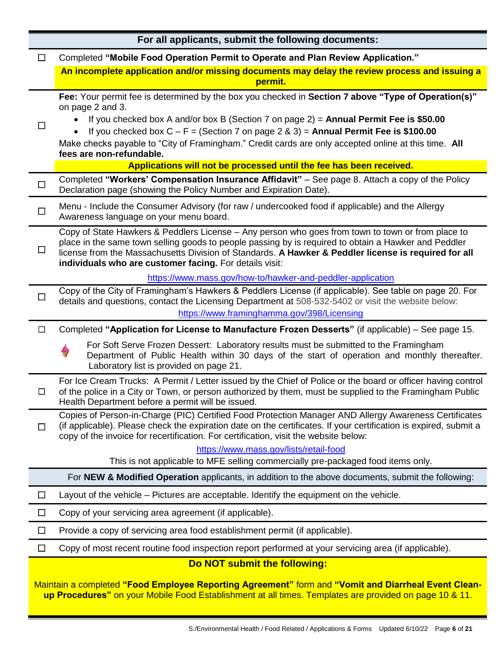| For all applicants, submit the following documents: |                                                                                                                                                                                                                                                                                                                                                                              |  |
|-----------------------------------------------------|------------------------------------------------------------------------------------------------------------------------------------------------------------------------------------------------------------------------------------------------------------------------------------------------------------------------------------------------------------------------------|--|
| $\Box$                                              | Completed "Mobile Food Operation Permit to Operate and Plan Review Application."                                                                                                                                                                                                                                                                                             |  |
|                                                     | An incomplete application and/or missing documents may delay the review process and issuing a<br>permit.                                                                                                                                                                                                                                                                     |  |
|                                                     | Fee: Your permit fee is determined by the box you checked in Section 7 above "Type of Operation(s)"<br>on page 2 and 3.                                                                                                                                                                                                                                                      |  |
| $\Box$                                              | If you checked box A and/or box B (Section 7 on page $2$ ) = Annual Permit Fee is \$50.00<br>If you checked box $C - F =$ (Section 7 on page 2 & 3) = Annual Permit Fee is \$100.00                                                                                                                                                                                          |  |
|                                                     | Make checks payable to "City of Framingham." Credit cards are only accepted online at this time. All<br>fees are non-refundable.                                                                                                                                                                                                                                             |  |
|                                                     | Applications will not be processed until the fee has been received.                                                                                                                                                                                                                                                                                                          |  |
| $\Box$                                              | Completed "Workers' Compensation Insurance Affidavit" - See page 8. Attach a copy of the Policy<br>Declaration page (showing the Policy Number and Expiration Date).                                                                                                                                                                                                         |  |
| $\Box$                                              | Menu - Include the Consumer Advisory (for raw / undercooked food if applicable) and the Allergy<br>Awareness language on your menu board.                                                                                                                                                                                                                                    |  |
| $\Box$                                              | Copy of State Hawkers & Peddlers License - Any person who goes from town to town or from place to<br>place in the same town selling goods to people passing by is required to obtain a Hawker and Peddler<br>license from the Massachusetts Division of Standards. A Hawker & Peddler license is required for all<br>individuals who are customer facing. For details visit: |  |
|                                                     | https://www.mass.gov/how-to/hawker-and-peddler-application                                                                                                                                                                                                                                                                                                                   |  |
| $\Box$                                              | Copy of the City of Framingham's Hawkers & Peddlers License (if applicable). See table on page 20. For<br>details and questions, contact the Licensing Department at 508-532-5402 or visit the website below:                                                                                                                                                                |  |
|                                                     | https://www.framinghamma.gov/398/Licensing                                                                                                                                                                                                                                                                                                                                   |  |
| $\Box$                                              | Completed "Application for License to Manufacture Frozen Desserts" (if applicable) – See page 15.                                                                                                                                                                                                                                                                            |  |
|                                                     | For Soft Serve Frozen Dessert: Laboratory results must be submitted to the Framingham<br>Department of Public Health within 30 days of the start of operation and monthly thereafter.<br>Laboratory list is provided on page 21.                                                                                                                                             |  |
| □                                                   | For Ice Cream Trucks: A Permit / Letter issued by the Chief of Police or the board or officer having control<br>of the police in a City or Town, or person authorized by them, must be supplied to the Framingham Public<br>Health Department before a permit will be issued.                                                                                                |  |
| $\Box$                                              | Copies of Person-in-Charge (PIC) Certified Food Protection Manager AND Allergy Awareness Certificates<br>(if applicable). Please check the expiration date on the certificates. If your certification is expired, submit a<br>copy of the invoice for recertification. For certification, visit the website below:                                                           |  |
|                                                     | https://www.mass.gov/lists/retail-food                                                                                                                                                                                                                                                                                                                                       |  |
|                                                     | This is not applicable to MFE selling commercially pre-packaged food items only.                                                                                                                                                                                                                                                                                             |  |
|                                                     | For NEW & Modified Operation applicants, in addition to the above documents, submit the following:                                                                                                                                                                                                                                                                           |  |
| $\Box$                                              | Layout of the vehicle - Pictures are acceptable. Identify the equipment on the vehicle.                                                                                                                                                                                                                                                                                      |  |
| $\Box$                                              | Copy of your servicing area agreement (if applicable).                                                                                                                                                                                                                                                                                                                       |  |
| $\Box$                                              | Provide a copy of servicing area food establishment permit (if applicable).                                                                                                                                                                                                                                                                                                  |  |
| $\Box$                                              | Copy of most recent routine food inspection report performed at your servicing area (if applicable).                                                                                                                                                                                                                                                                         |  |
|                                                     | Do NOT submit the following:                                                                                                                                                                                                                                                                                                                                                 |  |
|                                                     | Maintain a completed "Food Employee Reporting Agreement" form and "Vomit and Diarrheal Event Clean-<br>up Procedures" on your Mobile Food Establishment at all times. Templates are provided on page 10 & 11.                                                                                                                                                                |  |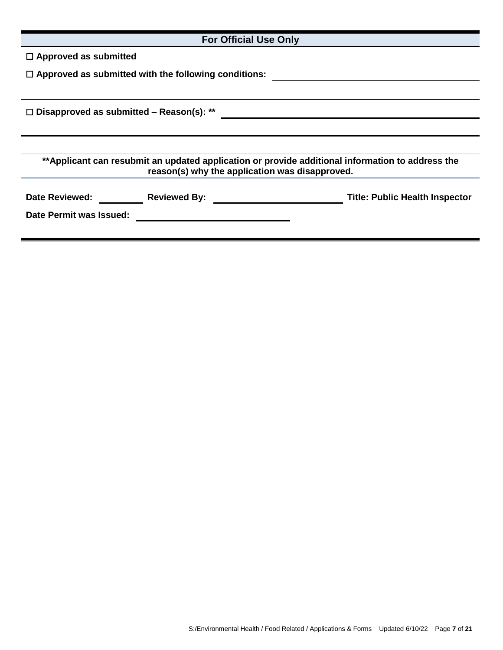| <b>For Official Use Only</b>                                                                                                                       |  |  |
|----------------------------------------------------------------------------------------------------------------------------------------------------|--|--|
| $\Box$ Approved as submitted                                                                                                                       |  |  |
| $\Box$ Approved as submitted with the following conditions:                                                                                        |  |  |
|                                                                                                                                                    |  |  |
| $\Box$ Disapproved as submitted – Reason(s): **                                                                                                    |  |  |
|                                                                                                                                                    |  |  |
|                                                                                                                                                    |  |  |
| **Applicant can resubmit an updated application or provide additional information to address the<br>reason(s) why the application was disapproved. |  |  |
|                                                                                                                                                    |  |  |
|                                                                                                                                                    |  |  |
| Date Permit was Issued:<br><u> 1989 - John Stein, Amerikaansk politiker (</u>                                                                      |  |  |
|                                                                                                                                                    |  |  |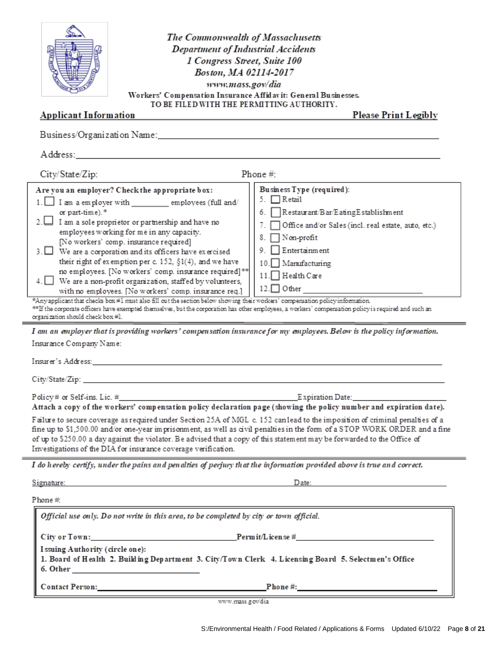|                                                                                      | The<br>D   |
|--------------------------------------------------------------------------------------|------------|
| Workers' Com<br><b>Applicant Information</b>                                         | TO BE F    |
| Business/Organization Name:                                                          |            |
| Address:                                                                             |            |
| City/State/Zip:                                                                      |            |
| Are you an employer? Check the approp:<br>$1 \mid \cdot \mid$ I am a small over with | <b>AMY</b> |

e Commonwealth of Massachusetts epartment of Industrial Accidents 1 Congress Street, Suite 100 Boston, MA 02114-2017 www.mass.gov/dia pensation Insurance Affid av it: General Businesses. ILED WITH THE PERMITTING AUTHORITY.

**Please Print Legibly** 

| Business/Organization Name:___________                                                                                                                                                                                                                                                                                                                                                                                                                                                                                                                                                                                                                                                                                                                                                                                                                                                                                                                                                                                                                                                                                                                                               |  |  |  |
|--------------------------------------------------------------------------------------------------------------------------------------------------------------------------------------------------------------------------------------------------------------------------------------------------------------------------------------------------------------------------------------------------------------------------------------------------------------------------------------------------------------------------------------------------------------------------------------------------------------------------------------------------------------------------------------------------------------------------------------------------------------------------------------------------------------------------------------------------------------------------------------------------------------------------------------------------------------------------------------------------------------------------------------------------------------------------------------------------------------------------------------------------------------------------------------|--|--|--|
| Address:                                                                                                                                                                                                                                                                                                                                                                                                                                                                                                                                                                                                                                                                                                                                                                                                                                                                                                                                                                                                                                                                                                                                                                             |  |  |  |
| City/State/Zip:<br>Phone $#$ :                                                                                                                                                                                                                                                                                                                                                                                                                                                                                                                                                                                                                                                                                                                                                                                                                                                                                                                                                                                                                                                                                                                                                       |  |  |  |
| Business Type (required):<br>Are you an employer? Check the appropriate box:<br>5. □Retail<br>1. I am a employer with ____________ employees (full and/<br>Restaurant/Bar/EatingEstablishment<br>or part-time).*<br>6.<br>$2.$ I am a sole proprietor or partnership and have no<br>Office and/or Sales (incl. real estate, auto, etc.)<br>employees working for me in any capacity.<br>] Non-profit<br>8.<br>[No workers' comp. insurance required]<br>Entertainment<br>9.<br>$3.$ We are a corporation and its officers have exercised<br>their right of exemption per c. $152$ , $\S1(4)$ , and we have<br>10. Manufacturing<br>no employees. [No workers' comp. insurance required] **<br>11. Health Care<br>4. We are a non-profit organization, staffed by volunteers,<br>$12.$ Other<br>with no employees. [No workers' comp. insurance req.]<br>*Any applicant that checks box #1 must also fill out the section below showing their workers' compensation policy information.<br>**If the corporate officers have exempted themselves, but the corporation has other employees, a workers' compensation policy is required and such an<br>organization should check box #1. |  |  |  |
| I am an employer that is providing workers' compensation insurance for my employees. Below is the policy information.<br>Insurance Company Name:                                                                                                                                                                                                                                                                                                                                                                                                                                                                                                                                                                                                                                                                                                                                                                                                                                                                                                                                                                                                                                     |  |  |  |
| Attach a copy of the workers' compensation policy declaration page (showing the policy number and expiration date).                                                                                                                                                                                                                                                                                                                                                                                                                                                                                                                                                                                                                                                                                                                                                                                                                                                                                                                                                                                                                                                                  |  |  |  |
| Failure to secure coverage as required under Section 25A of MGL c. 152 canlead to the imposition of criminal penalties of a<br>fine up to \$1,500.00 and/or one-year imprisonment, as well as civil penalties in the form of a STOP WORK ORDER and a fine<br>of up to \$250.00 a day against the violator. Be advised that a copy of this statement may be forwarded to the Office of<br>Investigations of the DIA for insurance coverage verification.                                                                                                                                                                                                                                                                                                                                                                                                                                                                                                                                                                                                                                                                                                                              |  |  |  |
| I do hereby certify, under the pains and penalties of perjury that the information provided above is true and correct.                                                                                                                                                                                                                                                                                                                                                                                                                                                                                                                                                                                                                                                                                                                                                                                                                                                                                                                                                                                                                                                               |  |  |  |
| Signature:<br>Date:                                                                                                                                                                                                                                                                                                                                                                                                                                                                                                                                                                                                                                                                                                                                                                                                                                                                                                                                                                                                                                                                                                                                                                  |  |  |  |
| Phone#:                                                                                                                                                                                                                                                                                                                                                                                                                                                                                                                                                                                                                                                                                                                                                                                                                                                                                                                                                                                                                                                                                                                                                                              |  |  |  |
| Official use only. Do not write in this area, to be completed by city or town official.                                                                                                                                                                                                                                                                                                                                                                                                                                                                                                                                                                                                                                                                                                                                                                                                                                                                                                                                                                                                                                                                                              |  |  |  |
| Permit/License#<br>City or Town:                                                                                                                                                                                                                                                                                                                                                                                                                                                                                                                                                                                                                                                                                                                                                                                                                                                                                                                                                                                                                                                                                                                                                     |  |  |  |
| Issuing Authority (circle one):<br>1. Board of Health 2. Building Department 3. City/Town Clerk 4. Licensing Board 5. Selectmen's Office                                                                                                                                                                                                                                                                                                                                                                                                                                                                                                                                                                                                                                                                                                                                                                                                                                                                                                                                                                                                                                             |  |  |  |
| Contact Person: New York 1988 (1989) 1988<br>Phone $\#$ :                                                                                                                                                                                                                                                                                                                                                                                                                                                                                                                                                                                                                                                                                                                                                                                                                                                                                                                                                                                                                                                                                                                            |  |  |  |

www.mass.gov/dia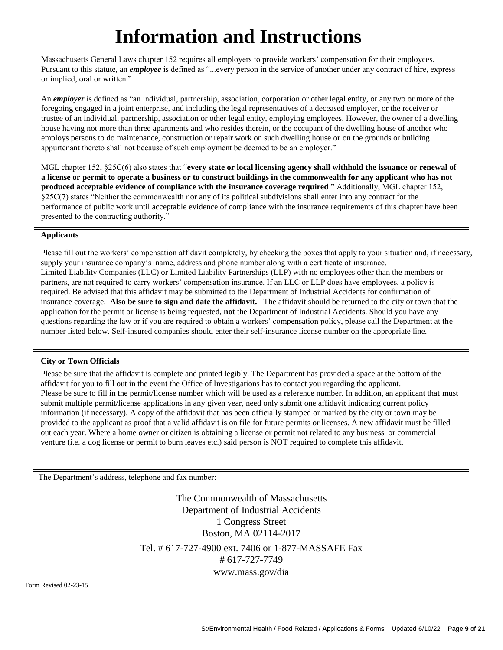# **Information and Instructions**

Massachusetts General Laws chapter 152 requires all employers to provide workers' compensation for their employees. Pursuant to this statute, an *employee* is defined as "...every person in the service of another under any contract of hire, express or implied, oral or written."

An *employer* is defined as "an individual, partnership, association, corporation or other legal entity, or any two or more of the foregoing engaged in a joint enterprise, and including the legal representatives of a deceased employer, or the receiver or trustee of an individual, partnership, association or other legal entity, employing employees. However, the owner of a dwelling house having not more than three apartments and who resides therein, or the occupant of the dwelling house of another who employs persons to do maintenance, construction or repair work on such dwelling house or on the grounds or building appurtenant thereto shall not because of such employment be deemed to be an employer."

MGL chapter 152, §25C(6) also states that "**every state or local licensing agency shall withhold the issuance or renewal of a license or permit to operate a business or to construct buildings in the commonwealth for any applicant who has not produced acceptable evidence of compliance with the insurance coverage required**." Additionally, MGL chapter 152, §25C(7) states "Neither the commonwealth nor any of its political subdivisions shall enter into any contract for the performance of public work until acceptable evidence of compliance with the insurance requirements of this chapter have been presented to the contracting authority."

#### **Applicants**

Please fill out the workers' compensation affidavit completely, by checking the boxes that apply to your situation and, if necessary, supply your insurance company's name, address and phone number along with a certificate of insurance. Limited Liability Companies (LLC) or Limited Liability Partnerships (LLP) with no employees other than the members or partners, are not required to carry workers' compensation insurance. If an LLC or LLP does have employees, a policy is required. Be advised that this affidavit may be submitted to the Department of Industrial Accidents for confirmation of insurance coverage. **Also be sure to sign and date the affidavit.** The affidavit should be returned to the city or town that the application for the permit or license is being requested, **not** the Department of Industrial Accidents. Should you have any questions regarding the law or if you are required to obtain a workers' compensation policy, please call the Department at the number listed below. Self-insured companies should enter their self-insurance license number on the appropriate line.

#### **City or Town Officials**

Please be sure that the affidavit is complete and printed legibly. The Department has provided a space at the bottom of the affidavit for you to fill out in the event the Office of Investigations has to contact you regarding the applicant. Please be sure to fill in the permit/license number which will be used as a reference number. In addition, an applicant that must submit multiple permit/license applications in any given year, need only submit one affidavit indicating current policy information (if necessary). A copy of the affidavit that has been officially stamped or marked by the city or town may be provided to the applicant as proof that a valid affidavit is on file for future permits or licenses. A new affidavit must be filled out each year. Where a home owner or citizen is obtaining a license or permit not related to any business or commercial venture (i.e. a dog license or permit to burn leaves etc.) said person is NOT required to complete this affidavit.

The Department's address, telephone and fax number:

The Commonwealth of Massachusetts Department of Industrial Accidents 1 Congress Street Boston, MA 02114-2017 Tel. # 617-727-4900 ext. 7406 or 1-877-MASSAFE Fax # 617-727-7749 [www.mass.gov/dia](http://www.mass.gov/dia)

Form Revised 02-23-15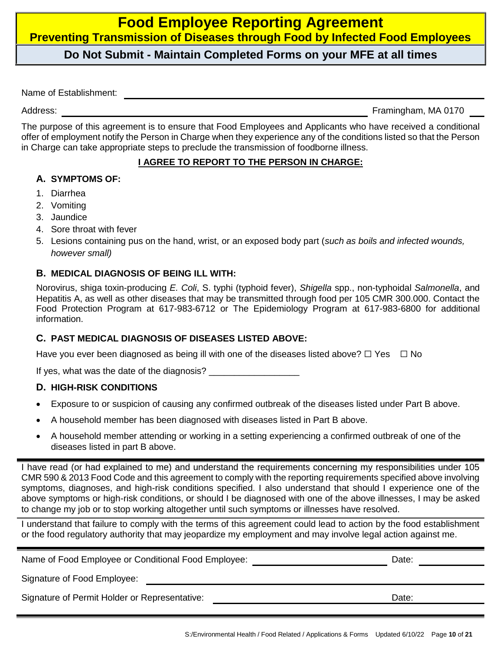### **Food Employee Reporting Agreement Preventing Transmission of Diseases through Food by Infected Food Employees**

#### **Do Not Submit - Maintain Completed Forms on your MFE at all times**

Name of Establishment:

Address: **Framingham, MA 0170** 

The purpose of this agreement is to ensure that Food Employees and Applicants who have received a conditional offer of employment notify the Person in Charge when they experience any of the conditions listed so that the Person in Charge can take appropriate steps to preclude the transmission of foodborne illness.

#### **I AGREE TO REPORT TO THE PERSON IN CHARGE:**

#### **A. SYMPTOMS OF:**

- 1. Diarrhea
- 2. Vomiting
- 3. Jaundice
- 4. Sore throat with fever
- 5. Lesions containing pus on the hand, wrist, or an exposed body part (*such as boils and infected wounds, however small)*

#### **B. MEDICAL DIAGNOSIS OF BEING ILL WITH:**

Norovirus, shiga toxin-producing *E. Coli*, S. typhi (typhoid fever), *Shigella* spp., non-typhoidal *Salmonella*, and Hepatitis A, as well as other diseases that may be transmitted through food per 105 CMR 300.000. Contact the Food Protection Program at 617-983-6712 or The Epidemiology Program at 617-983-6800 for additional information.

#### **C. PAST MEDICAL DIAGNOSIS OF DISEASES LISTED ABOVE:**

Have you ever been diagnosed as being ill with one of the diseases listed above?  $\Box$  Yes  $\Box$  No

If yes, what was the date of the diagnosis?

#### **D. HIGH-RISK CONDITIONS**

- Exposure to or suspicion of causing any confirmed outbreak of the diseases listed under Part B above.
- A household member has been diagnosed with diseases listed in Part B above.
- A household member attending or working in a setting experiencing a confirmed outbreak of one of the diseases listed in part B above.

I have read (or had explained to me) and understand the requirements concerning my responsibilities under 105 CMR 590 & 2013 Food Code and this agreement to comply with the reporting requirements specified above involving symptoms, diagnoses, and high-risk conditions specified. I also understand that should I experience one of the above symptoms or high-risk conditions, or should I be diagnosed with one of the above illnesses, I may be asked to change my job or to stop working altogether until such symptoms or illnesses have resolved.

I understand that failure to comply with the terms of this agreement could lead to action by the food establishment or the food regulatory authority that may jeopardize my employment and may involve legal action against me.

| Name of Food Employee or Conditional Food Employee: | Date: |
|-----------------------------------------------------|-------|
| Signature of Food Employee:                         |       |
| Signature of Permit Holder or Representative:       | Date: |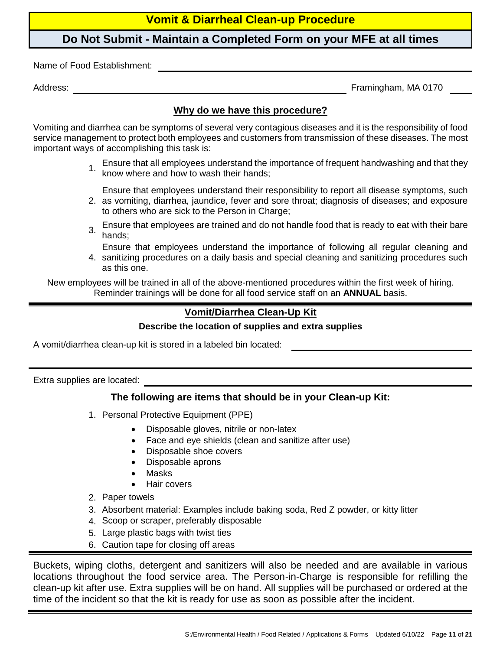#### **Vomit & Diarrheal Clean-up Procedure**

#### **Do Not Submit - Maintain a Completed Form on your MFE at all times**

Name of Food Establishment:

Address: Framingham, MA 0170

#### **Why do we have this procedure?**

Vomiting and diarrhea can be symptoms of several very contagious diseases and it is the responsibility of food service management to protect both employees and customers from transmission of these diseases. The most important ways of accomplishing this task is:

1. Ensure that all employees understand the importance of frequent handwashing and that they know where and how to wash their hands;

Ensure that employees understand their responsibility to report all disease symptoms, such

- 2. as vomiting, diarrhea, jaundice, fever and sore throat; diagnosis of diseases; and exposure to others who are sick to the Person in Charge;
- 3. Ensure that employees are trained and do not handle food that is ready to eat with their bare hands;

Ensure that employees understand the importance of following all regular cleaning and

4. sanitizing procedures on a daily basis and special cleaning and sanitizing procedures such as this one.

New employees will be trained in all of the above-mentioned procedures within the first week of hiring. Reminder trainings will be done for all food service staff on an **ANNUAL** basis.

#### **Vomit/Diarrhea Clean-Up Kit**

#### **Describe the location of supplies and extra supplies**

A vomit/diarrhea clean-up kit is stored in a labeled bin located:

Extra supplies are located:

#### **The following are items that should be in your Clean-up Kit:**

- 1. Personal Protective Equipment (PPE)
	- Disposable gloves, nitrile or non-latex
	- Face and eye shields (clean and sanitize after use)
	- Disposable shoe covers
	- Disposable aprons
	- **Masks**
	- Hair covers
- 2. Paper towels
- 3. Absorbent material: Examples include baking soda, Red Z powder, or kitty litter
- 4. Scoop or scraper, preferably disposable
- 5. Large plastic bags with twist ties
- 6. Caution tape for closing off areas

Buckets, wiping cloths, detergent and sanitizers will also be needed and are available in various locations throughout the food service area. The Person-in-Charge is responsible for refilling the clean-up kit after use. Extra supplies will be on hand. All supplies will be purchased or ordered at the time of the incident so that the kit is ready for use as soon as possible after the incident.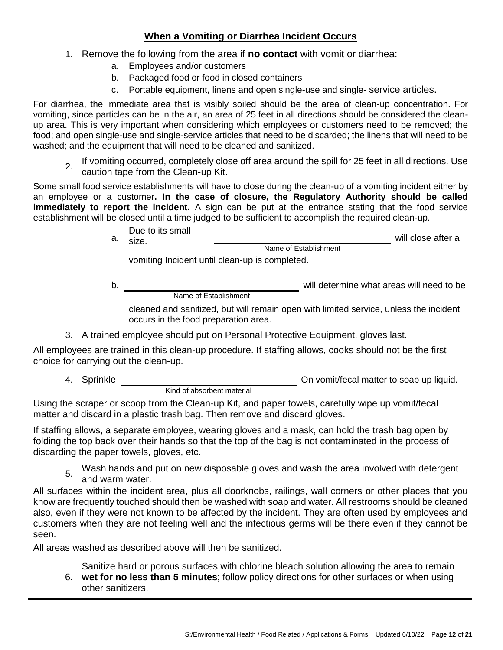#### **When a Vomiting or Diarrhea Incident Occurs**

- 1. Remove the following from the area if **no contact** with vomit or diarrhea:
	- a. Employees and/or customers
	- b. Packaged food or food in closed containers
	- c. Portable equipment, linens and open single-use and single- service articles.

For diarrhea, the immediate area that is visibly soiled should be the area of clean-up concentration. For vomiting, since particles can be in the air, an area of 25 feet in all directions should be considered the cleanup area. This is very important when considering which employees or customers need to be removed; the food; and open single-use and single-service articles that need to be discarded; the linens that will need to be washed: and the equipment that will need to be cleaned and sanitized.

2. If vomiting occurred, completely close off area around the spill for 25 feet in all directions. Use caution tape from the Clean-up Kit.

Some small food service establishments will have to close during the clean-up of a vomiting incident either by an employee or a customer**. In the case of closure, the Regulatory Authority should be called immediately to report the incident.** A sign can be put at the entrance stating that the food service establishment will be closed until a time judged to be sufficient to accomplish the required clean-up.

| Due to its small<br>a. <sub>cize</sub> |                                                 | will close after a |
|----------------------------------------|-------------------------------------------------|--------------------|
|                                        | Name of Establishment                           |                    |
|                                        | isanitisa laajalantuutilalaan un ja aanaalataal |                    |

vomiting Incident until clean-up is completed.

b. will determine what areas will need to be Name of Establishment

cleaned and sanitized, but will remain open with limited service, unless the incident occurs in the food preparation area.

3. A trained employee should put on Personal Protective Equipment, gloves last.

All employees are trained in this clean-up procedure. If staffing allows, cooks should not be the first choice for carrying out the clean-up.

4. Sprinkle On vomit/fecal matter to soap up liquid.

Kind of absorbent material

Using the scraper or scoop from the Clean-up Kit, and paper towels, carefully wipe up vomit/fecal matter and discard in a plastic trash bag. Then remove and discard gloves.

If staffing allows, a separate employee, wearing gloves and a mask, can hold the trash bag open by folding the top back over their hands so that the top of the bag is not contaminated in the process of discarding the paper towels, gloves, etc.

5. Wash hands and put on new disposable gloves and wash the area involved with detergent and warm water.

All surfaces within the incident area, plus all doorknobs, railings, wall corners or other places that you know are frequently touched should then be washed with soap and water. All restrooms should be cleaned also, even if they were not known to be affected by the incident. They are often used by employees and customers when they are not feeling well and the infectious germs will be there even if they cannot be seen.

All areas washed as described above will then be sanitized.

Sanitize hard or porous surfaces with chlorine bleach solution allowing the area to remain

6. **wet for no less than 5 minutes**; follow policy directions for other surfaces or when using other sanitizers.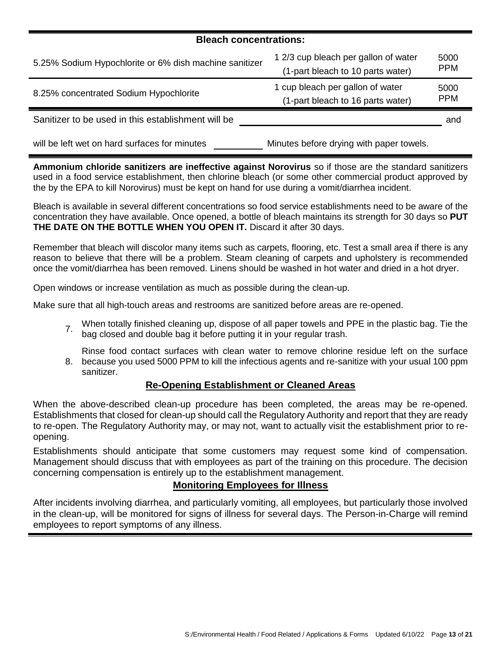#### **Bleach concentrations:**

| 5.25% Sodium Hypochlorite or 6% dish machine sanitizer | 1 2/3 cup bleach per gallon of water<br>(1-part bleach to 10 parts water) | 5000<br><b>PPM</b> |
|--------------------------------------------------------|---------------------------------------------------------------------------|--------------------|
| 8.25% concentrated Sodium Hypochlorite                 | 1 cup bleach per gallon of water<br>(1-part bleach to 16 parts water)     | 5000<br><b>PPM</b> |
| Sanitizer to be used in this establishment will be     |                                                                           | and                |
| will be left wet on hard surfaces for minutes          | Minutes before drying with paper towels.                                  |                    |

**Ammonium chloride sanitizers are ineffective against Norovirus** so if those are the standard sanitizers used in a food service establishment, then chlorine bleach (or some other commercial product approved by the by the EPA to kill Norovirus) must be kept on hand for use during a vomit/diarrhea incident.

Bleach is available in several different concentrations so food service establishments need to be aware of the concentration they have available. Once opened, a bottle of bleach maintains its strength for 30 days so **PUT THE DATE ON THE BOTTLE WHEN YOU OPEN IT.** Discard it after 30 days.

Remember that bleach will discolor many items such as carpets, flooring, etc. Test a small area if there is any reason to believe that there will be a problem. Steam cleaning of carpets and upholstery is recommended once the vomit/diarrhea has been removed. Linens should be washed in hot water and dried in a hot dryer.

Open windows or increase ventilation as much as possible during the clean-up.

Make sure that all high-touch areas and restrooms are sanitized before areas are re-opened.

- 7. When totally finished cleaning up, dispose of all paper towels and PPE in the plastic bag. Tie the bag closed and double bag it before putting it in your regular trash.
- 8. because you used 5000 PPM to kill the infectious agents and re-sanitize with your usual 100 ppm Rinse food contact surfaces with clean water to remove chlorine residue left on the surface sanitizer.

#### **Re-Opening Establishment or Cleaned Areas**

When the above-described clean-up procedure has been completed, the areas may be re-opened. Establishments that closed for clean-up should call the Regulatory Authority and report that they are ready to re-open. The Regulatory Authority may, or may not, want to actually visit the establishment prior to reopening.

Establishments should anticipate that some customers may request some kind of compensation. Management should discuss that with employees as part of the training on this procedure. The decision concerning compensation is entirely up to the establishment management.

#### **Monitoring Employees for Illness**

After incidents involving diarrhea, and particularly vomiting, all employees, but particularly those involved in the clean-up, will be monitored for signs of illness for several days. The Person-in-Charge will remind employees to report symptoms of any illness.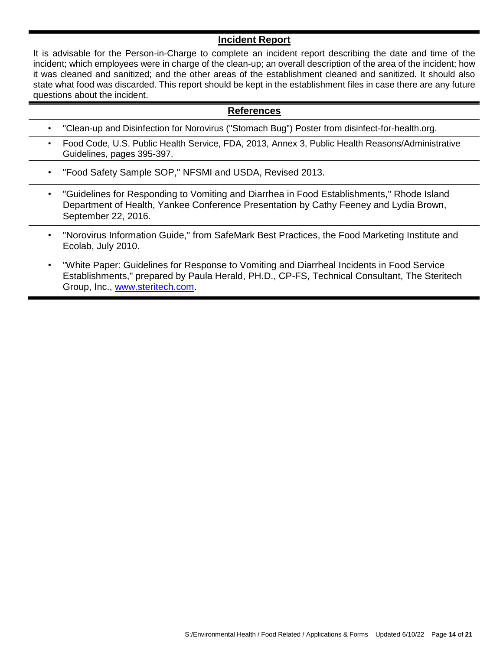#### **Incident Report**

It is advisable for the Person-in-Charge to complete an incident report describing the date and time of the incident; which employees were in charge of the clean-up; an overall description of the area of the incident; how it was cleaned and sanitized; and the other areas of the establishment cleaned and sanitized. It should also state what food was discarded. This report should be kept in the establishment files in case there are any future questions about the incident.

#### **References**

- "Clean-up and Disinfection for Norovirus ("Stomach Bug") Poster from disinfect-for-health.org.
- Food Code, U.S. Public Health Service, FDA, 2013, Annex 3, Public Health Reasons/Administrative Guidelines, pages 395-397.
- "Food Safety Sample SOP," NFSMI and USDA, Revised 2013.
- "Guidelines for Responding to Vomiting and Diarrhea in Food Establishments," Rhode Island Department of Health, Yankee Conference Presentation by Cathy Feeney and Lydia Brown, September 22, 2016.
- "Norovirus Information Guide," from SafeMark Best Practices, the Food Marketing Institute and Ecolab, July 2010.
- "White Paper: Guidelines for Response to Vomiting and Diarrheal Incidents in Food Service Establishments," prepared by Paula Herald, PH.D., CP-FS, Technical Consultant, The Steritech Group, Inc., [www.steritech.com.](http://www.steritech.com/)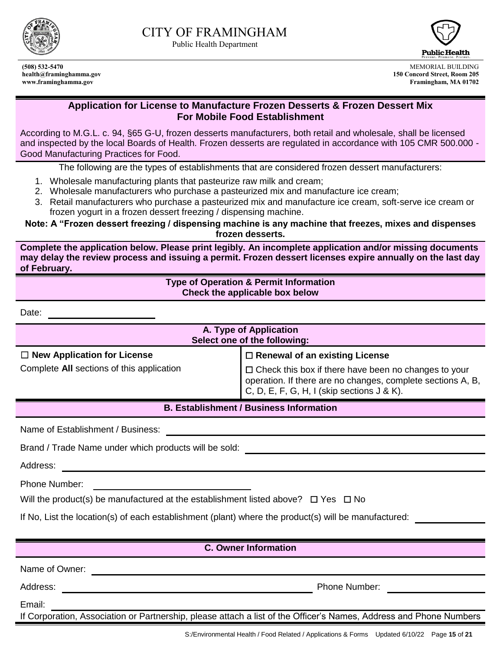

Public Health Department



**(508) 532-5470** MEMORIAL BUILDING **health@framinghamma.gov 150 Concord Street, Room 205 www.framinghamma.gov Framingham, MA 01702**

#### **Application for License to Manufacture Frozen Desserts & Frozen Dessert Mix For Mobile Food Establishment**

According to M.G.L. c. 94, §65 G-U, frozen desserts manufacturers, both retail and wholesale, shall be licensed and inspected by the local Boards of Health. Frozen desserts are regulated in accordance with 105 CMR 500.000 - Good Manufacturing Practices for Food.

The following are the types of establishments that are considered frozen dessert manufacturers:

- 1. Wholesale manufacturing plants that pasteurize raw milk and cream;
- 2. Wholesale manufacturers who purchase a pasteurized mix and manufacture ice cream;
- 3. Retail manufacturers who purchase a pasteurized mix and manufacture ice cream, soft-serve ice cream or frozen yogurt in a frozen dessert freezing / dispensing machine.

**Note: A "Frozen dessert freezing / dispensing machine is any machine that freezes, mixes and dispenses frozen desserts.**

**Complete the application below. Please print legibly. An incomplete application and/or missing documents may delay the review process and issuing a permit. Frozen dessert licenses expire annually on the last day of February.**

#### **Type of Operation & Permit Information Check the applicable box below**

Date:

| A. Type of Application<br>Select one of the following: |                                                                                                                                                                          |  |  |
|--------------------------------------------------------|--------------------------------------------------------------------------------------------------------------------------------------------------------------------------|--|--|
| $\Box$ New Application for License                     | $\Box$ Renewal of an existing License                                                                                                                                    |  |  |
| Complete All sections of this application              | $\Box$ Check this box if there have been no changes to your<br>operation. If there are no changes, complete sections A, B,<br>C, D, E, F, G, H, I (skip sections J & K). |  |  |
| <b>B. Establishment / Business Information</b>         |                                                                                                                                                                          |  |  |

Name of Establishment / Business:

|  |  |  |  |  | Brand / Trade Name under which products will be sold: |  |  |  |
|--|--|--|--|--|-------------------------------------------------------|--|--|--|
|--|--|--|--|--|-------------------------------------------------------|--|--|--|

Address:

Phone Number:

| Will the product(s) be manufactured at the establishment listed above? $\Box$ Yes $\Box$ No |  |  |
|---------------------------------------------------------------------------------------------|--|--|
|---------------------------------------------------------------------------------------------|--|--|

If No, List the location(s) of each establishment (plant) where the product(s) will be manufactured:

#### **C. Owner Information**

Name of Owner:  $\blacksquare$ 

Address: Phone Number:

Email:

If Corporation, Association or Partnership, please attach a list of the Officer's Names, Address and Phone Numbers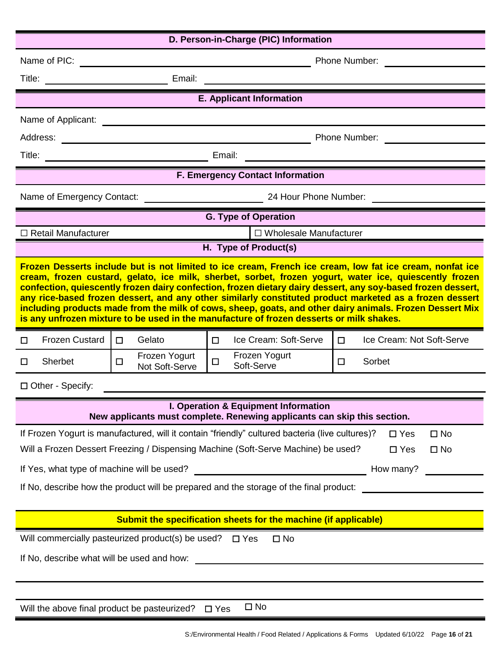| D. Person-in-Charge (PIC) Information                                                                                                                                                                                                                                                                                                                                                                                                                                                                                                                                                                                                                 |                                           |                                                                                                                       |                                     |  |
|-------------------------------------------------------------------------------------------------------------------------------------------------------------------------------------------------------------------------------------------------------------------------------------------------------------------------------------------------------------------------------------------------------------------------------------------------------------------------------------------------------------------------------------------------------------------------------------------------------------------------------------------------------|-------------------------------------------|-----------------------------------------------------------------------------------------------------------------------|-------------------------------------|--|
| Name of PIC:                                                                                                                                                                                                                                                                                                                                                                                                                                                                                                                                                                                                                                          | Phone Number:                             |                                                                                                                       |                                     |  |
| Title:                                                                                                                                                                                                                                                                                                                                                                                                                                                                                                                                                                                                                                                | Email:                                    | <u> 1989 - Johann Barn, amerikan bestemannsnafn og det forskellige og det forskellige og det forskellige og det</u>   |                                     |  |
|                                                                                                                                                                                                                                                                                                                                                                                                                                                                                                                                                                                                                                                       |                                           | <b>E. Applicant Information</b>                                                                                       |                                     |  |
| Name of Applicant:                                                                                                                                                                                                                                                                                                                                                                                                                                                                                                                                                                                                                                    |                                           | <u>and the state of the state of the state of the state of the state of the state of the state of the state of th</u> |                                     |  |
|                                                                                                                                                                                                                                                                                                                                                                                                                                                                                                                                                                                                                                                       |                                           |                                                                                                                       |                                     |  |
|                                                                                                                                                                                                                                                                                                                                                                                                                                                                                                                                                                                                                                                       |                                           |                                                                                                                       |                                     |  |
|                                                                                                                                                                                                                                                                                                                                                                                                                                                                                                                                                                                                                                                       |                                           | <b>F. Emergency Contact Information</b>                                                                               |                                     |  |
|                                                                                                                                                                                                                                                                                                                                                                                                                                                                                                                                                                                                                                                       |                                           |                                                                                                                       |                                     |  |
|                                                                                                                                                                                                                                                                                                                                                                                                                                                                                                                                                                                                                                                       |                                           | <b>G. Type of Operation</b>                                                                                           |                                     |  |
| $\Box$ Retail Manufacturer                                                                                                                                                                                                                                                                                                                                                                                                                                                                                                                                                                                                                            |                                           | □ Wholesale Manufacturer                                                                                              |                                     |  |
|                                                                                                                                                                                                                                                                                                                                                                                                                                                                                                                                                                                                                                                       |                                           | H. Type of Product(s)                                                                                                 |                                     |  |
| Frozen Desserts include but is not limited to ice cream, French ice cream, low fat ice cream, nonfat ice<br>cream, frozen custard, gelato, ice milk, sherbet, sorbet, frozen yogurt, water ice, quiescently frozen<br>confection, quiescently frozen dairy confection, frozen dietary dairy dessert, any soy-based frozen dessert,<br>any rice-based frozen dessert, and any other similarly constituted product marketed as a frozen dessert<br>including products made from the milk of cows, sheep, goats, and other dairy animals. Frozen Dessert Mix<br>is any unfrozen mixture to be used in the manufacture of frozen desserts or milk shakes. |                                           |                                                                                                                       |                                     |  |
| <b>Frozen Custard</b><br>П.                                                                                                                                                                                                                                                                                                                                                                                                                                                                                                                                                                                                                           | Gelato<br>$\Box$                          | Ice Cream: Soft-Serve<br>$\Box$                                                                                       | Ice Cream: Not Soft-Serve<br>$\Box$ |  |
| Sherbet<br>П                                                                                                                                                                                                                                                                                                                                                                                                                                                                                                                                                                                                                                          | Frozen Yogurt<br>$\Box$<br>Not Soft-Serve | Frozen Yogurt<br>$\Box$<br>Soft-Serve                                                                                 | Sorbet<br>$\Box$                    |  |
| □ Other - Specify:                                                                                                                                                                                                                                                                                                                                                                                                                                                                                                                                                                                                                                    |                                           |                                                                                                                       |                                     |  |
|                                                                                                                                                                                                                                                                                                                                                                                                                                                                                                                                                                                                                                                       |                                           | I. Operation & Equipment Information<br>New applicants must complete. Renewing applicants can skip this section.      |                                     |  |
|                                                                                                                                                                                                                                                                                                                                                                                                                                                                                                                                                                                                                                                       |                                           | If Frozen Yogurt is manufactured, will it contain "friendly" cultured bacteria (live cultures)?                       | $\square$ Yes<br>$\square$ No       |  |
|                                                                                                                                                                                                                                                                                                                                                                                                                                                                                                                                                                                                                                                       |                                           | Will a Frozen Dessert Freezing / Dispensing Machine (Soft-Serve Machine) be used?                                     | $\square$ No<br>$\Box$ Yes          |  |
|                                                                                                                                                                                                                                                                                                                                                                                                                                                                                                                                                                                                                                                       |                                           |                                                                                                                       | How many?                           |  |
| If No, describe how the product will be prepared and the storage of the final product:                                                                                                                                                                                                                                                                                                                                                                                                                                                                                                                                                                |                                           |                                                                                                                       |                                     |  |
| Submit the specification sheets for the machine (if applicable)                                                                                                                                                                                                                                                                                                                                                                                                                                                                                                                                                                                       |                                           |                                                                                                                       |                                     |  |
| Will commercially pasteurized product(s) be used?<br>$\square$ No<br>$\square$ Yes                                                                                                                                                                                                                                                                                                                                                                                                                                                                                                                                                                    |                                           |                                                                                                                       |                                     |  |
| If No, describe what will be used and how:                                                                                                                                                                                                                                                                                                                                                                                                                                                                                                                                                                                                            |                                           |                                                                                                                       |                                     |  |
|                                                                                                                                                                                                                                                                                                                                                                                                                                                                                                                                                                                                                                                       |                                           |                                                                                                                       |                                     |  |
| $\square$ No<br>Will the above final product be pasteurized?<br>$\Box$ Yes                                                                                                                                                                                                                                                                                                                                                                                                                                                                                                                                                                            |                                           |                                                                                                                       |                                     |  |
|                                                                                                                                                                                                                                                                                                                                                                                                                                                                                                                                                                                                                                                       |                                           |                                                                                                                       |                                     |  |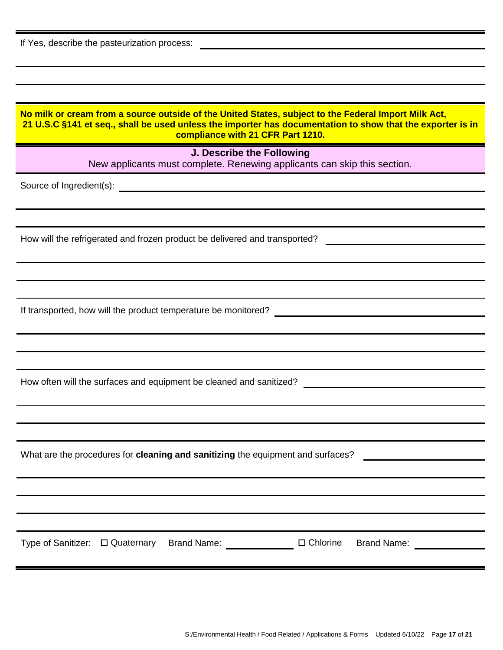| If Yes, describe the pasteurization process:                                                                                                                                                                                                            |
|---------------------------------------------------------------------------------------------------------------------------------------------------------------------------------------------------------------------------------------------------------|
|                                                                                                                                                                                                                                                         |
|                                                                                                                                                                                                                                                         |
| No milk or cream from a source outside of the United States, subject to the Federal Import Milk Act,<br>21 U.S.C §141 et seq., shall be used unless the importer has documentation to show that the exporter is in<br>compliance with 21 CFR Part 1210. |
| J. Describe the Following<br>New applicants must complete. Renewing applicants can skip this section.                                                                                                                                                   |
|                                                                                                                                                                                                                                                         |
|                                                                                                                                                                                                                                                         |
|                                                                                                                                                                                                                                                         |
| How will the refrigerated and frozen product be delivered and transported?                                                                                                                                                                              |
|                                                                                                                                                                                                                                                         |
|                                                                                                                                                                                                                                                         |
|                                                                                                                                                                                                                                                         |
|                                                                                                                                                                                                                                                         |
|                                                                                                                                                                                                                                                         |
|                                                                                                                                                                                                                                                         |
| How often will the surfaces and equipment be cleaned and sanitized?                                                                                                                                                                                     |
|                                                                                                                                                                                                                                                         |
|                                                                                                                                                                                                                                                         |
|                                                                                                                                                                                                                                                         |
| What are the procedures for cleaning and sanitizing the equipment and surfaces?<br><u> 1980 - Jan Stein Stein Stein Stein Stein Stein Stein Stein Stein Stein Stein Stein Stein Stein Stein Stein S</u>                                                 |
|                                                                                                                                                                                                                                                         |
|                                                                                                                                                                                                                                                         |
|                                                                                                                                                                                                                                                         |
|                                                                                                                                                                                                                                                         |
|                                                                                                                                                                                                                                                         |
|                                                                                                                                                                                                                                                         |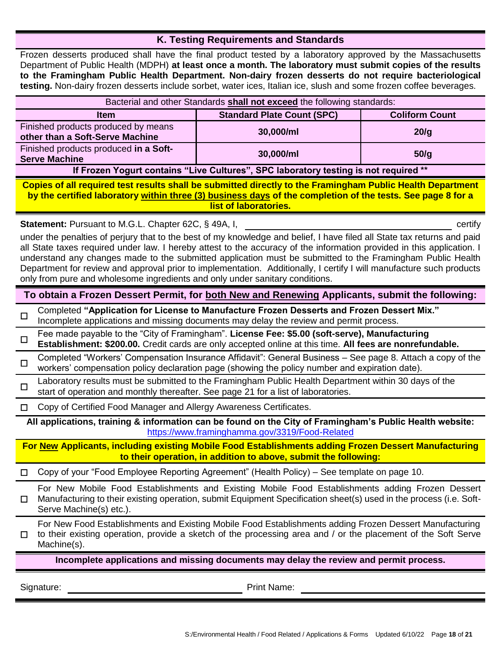#### **K. Testing Requirements and Standards**

Frozen desserts produced shall have the final product tested by a laboratory approved by the Massachusetts Department of Public Health (MDPH) **at least once a month. The laboratory must submit copies of the results to the Framingham Public Health Department. Non-dairy frozen desserts do not require bacteriological testing.** Non-dairy frozen desserts include sorbet, water ices, Italian ice, slush and some frozen coffee beverages.

| Bacterial and other Standards shall not exceed the following standards:              |           |      |  |  |
|--------------------------------------------------------------------------------------|-----------|------|--|--|
| <b>Standard Plate Count (SPC)</b><br><b>Coliform Count</b><br><b>Item</b>            |           |      |  |  |
| Finished products produced by means<br>other than a Soft-Serve Machine               | 30,000/ml | 20/q |  |  |
| Finished products produced in a Soft-<br><b>Serve Machine</b>                        | 30,000/ml | 50/q |  |  |
| If Frozen Yogurt contains "Live Cultures", SPC laboratory testing is not required ** |           |      |  |  |

**Copies of all required test results shall be submitted directly to the Framingham Public Health Department by the certified laboratory within three (3) business days of the completion of the tests. See page 8 for a list of laboratories.**

**Statement:** Pursuant to M.G.L. Chapter 62C, § 49A, I, **Case 2018 Contract Contract Contract Contract Contract Contract Contract Contract Contract Contract Contract Contract Contract Contract Contract Contract Contract C** 

under the penalties of perjury that to the best of my knowledge and belief, I have filed all State tax returns and paid all State taxes required under law. I hereby attest to the accuracy of the information provided in this application. I understand any changes made to the submitted application must be submitted to the Framingham Public Health Department for review and approval prior to implementation. Additionally, I certify I will manufacture such products only from pure and wholesome ingredients and only under sanitary conditions.

#### **To obtain a Frozen Dessert Permit, for both New and Renewing Applicants, submit the following:**

- ☐ Completed **"Application for License to Manufacture Frozen Desserts and Frozen Dessert Mix."**  Incomplete applications and missing documents may delay the review and permit process.
- ☐ Fee made payable to the "City of Framingham". **License Fee: \$5.00 (soft-serve), Manufacturing Establishment: \$200.00.** Credit cards are only accepted online at this time. **All fees are nonrefundable.**
- ☐ Completed "Workers' Compensation Insurance Affidavit": General Business – See page 8. Attach a copy of the workers' compensation policy declaration page (showing the policy number and expiration date).
- ☐ Laboratory results must be submitted to the Framingham Public Health Department within 30 days of the start of operation and monthly thereafter. See page 21 for a list of laboratories.

Copy of Certified Food Manager and Allergy Awareness Certificates.

**All applications, training & information can be found on the City of Framingham's Public Health website:** <https://www.framinghamma.gov/3319/Food-Related>

**For New Applicants, including existing Mobile Food Establishments adding Frozen Dessert Manufacturing to their operation, in addition to above, submit the following:**

#### ☐ Copy of your "Food Employee Reporting Agreement" (Health Policy) – See template on page 10.

☐ For New Mobile Food Establishments and Existing Mobile Food Establishments adding Frozen Dessert Manufacturing to their existing operation, submit Equipment Specification sheet(s) used in the process (i.e. Soft-Serve Machine(s) etc.).

☐ For New Food Establishments and Existing Mobile Food Establishments adding Frozen Dessert Manufacturing to their existing operation, provide a sketch of the processing area and / or the placement of the Soft Serve Machine(s).

**Incomplete applications and missing documents may delay the review and permit process.**

Signature: Print Name: Print Name: Print Name: Print Name: Print Name: Print Name: Print Name: Print Name: Print Name: Print Name: Print Name: Print Name: Print Name: Print Name: Print Name: Print Name: Print Name: Print N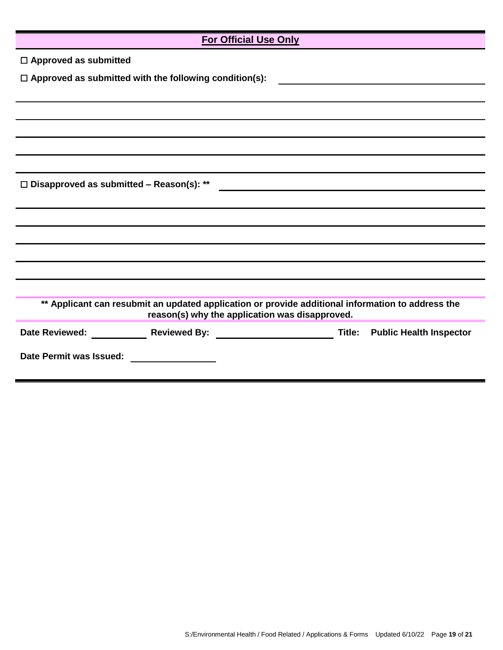| <b>For Official Use Only</b>                                                                                                                        |  |  |  |
|-----------------------------------------------------------------------------------------------------------------------------------------------------|--|--|--|
| $\Box$ Approved as submitted                                                                                                                        |  |  |  |
| $\Box$ Approved as submitted with the following condition(s):                                                                                       |  |  |  |
|                                                                                                                                                     |  |  |  |
|                                                                                                                                                     |  |  |  |
|                                                                                                                                                     |  |  |  |
|                                                                                                                                                     |  |  |  |
|                                                                                                                                                     |  |  |  |
| $\Box$ Disapproved as submitted – Reason(s): **                                                                                                     |  |  |  |
|                                                                                                                                                     |  |  |  |
|                                                                                                                                                     |  |  |  |
|                                                                                                                                                     |  |  |  |
|                                                                                                                                                     |  |  |  |
|                                                                                                                                                     |  |  |  |
|                                                                                                                                                     |  |  |  |
| ** Applicant can resubmit an updated application or provide additional information to address the<br>reason(s) why the application was disapproved. |  |  |  |
| Reviewed By: Title: Public Health Inspector<br>Date Reviewed:                                                                                       |  |  |  |
| Date Permit was Issued:                                                                                                                             |  |  |  |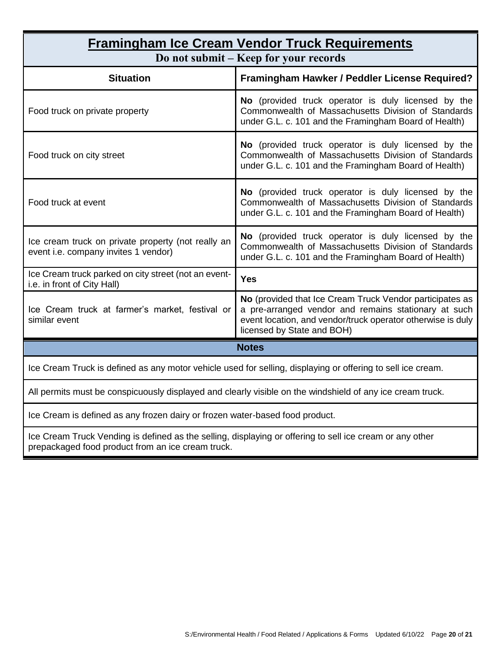| <b>Framingham Ice Cream Vendor Truck Requirements</b><br>Do not submit - Keep for your records                                                                                                                |  |  |  |
|---------------------------------------------------------------------------------------------------------------------------------------------------------------------------------------------------------------|--|--|--|
| Framingham Hawker / Peddler License Required?                                                                                                                                                                 |  |  |  |
| No (provided truck operator is duly licensed by the<br>Commonwealth of Massachusetts Division of Standards<br>under G.L. c. 101 and the Framingham Board of Health)                                           |  |  |  |
| No (provided truck operator is duly licensed by the<br>Commonwealth of Massachusetts Division of Standards<br>under G.L. c. 101 and the Framingham Board of Health)                                           |  |  |  |
| No (provided truck operator is duly licensed by the<br>Commonwealth of Massachusetts Division of Standards<br>under G.L. c. 101 and the Framingham Board of Health)                                           |  |  |  |
| No (provided truck operator is duly licensed by the<br>Commonwealth of Massachusetts Division of Standards<br>under G.L. c. 101 and the Framingham Board of Health)                                           |  |  |  |
| <b>Yes</b>                                                                                                                                                                                                    |  |  |  |
| No (provided that Ice Cream Truck Vendor participates as<br>a pre-arranged vendor and remains stationary at such<br>event location, and vendor/truck operator otherwise is duly<br>licensed by State and BOH) |  |  |  |
| <b>Notes</b>                                                                                                                                                                                                  |  |  |  |
| Ice Cream Truck is defined as any motor vehicle used for selling, displaying or offering to sell ice cream.                                                                                                   |  |  |  |
| All permits must be conspicuously displayed and clearly visible on the windshield of any ice cream truck.                                                                                                     |  |  |  |
| Ice Cream is defined as any frozen dairy or frozen water-based food product.                                                                                                                                  |  |  |  |
|                                                                                                                                                                                                               |  |  |  |

Ice Cream Truck Vending is defined as the selling, displaying or offering to sell ice cream or any other prepackaged food product from an ice cream truck.